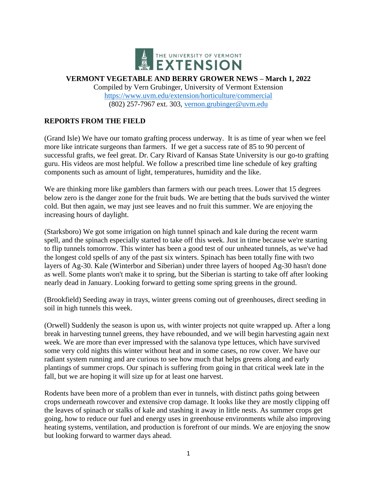

**VERMONT VEGETABLE AND BERRY GROWER NEWS – March 1, 2022**

Compiled by Vern Grubinger, University of Vermont Extension <https://www.uvm.edu/extension/horticulture/commercial> (802) 257-7967 ext. 303, [vernon.grubinger@uvm.edu](mailto:vernon.grubinger@uvm.edu)

### **REPORTS FROM THE FIELD**

(Grand Isle) We have our tomato grafting process underway. It is as time of year when we feel more like intricate surgeons than farmers. If we get a success rate of 85 to 90 percent of successful grafts, we feel great. Dr. Cary Rivard of Kansas State University is our go-to grafting guru. His videos are most helpful. We follow a prescribed time line schedule of key grafting components such as amount of light, temperatures, humidity and the like.

We are thinking more like gamblers than farmers with our peach trees. Lower that 15 degrees below zero is the danger zone for the fruit buds. We are betting that the buds survived the winter cold. But then again, we may just see leaves and no fruit this summer. We are enjoying the increasing hours of daylight.

(Starksboro) We got some irrigation on high tunnel spinach and kale during the recent warm spell, and the spinach especially started to take off this week. Just in time because we're starting to flip tunnels tomorrow. This winter has been a good test of our unheated tunnels, as we've had the longest cold spells of any of the past six winters. Spinach has been totally fine with two layers of Ag-30. Kale (Winterbor and Siberian) under three layers of hooped Ag-30 hasn't done as well. Some plants won't make it to spring, but the Siberian is starting to take off after looking nearly dead in January. Looking forward to getting some spring greens in the ground.

(Brookfield) Seeding away in trays, winter greens coming out of greenhouses, direct seeding in soil in high tunnels this week.

(Orwell) Suddenly the season is upon us, with winter projects not quite wrapped up. After a long break in harvesting tunnel greens, they have rebounded, and we will begin harvesting again next week. We are more than ever impressed with the salanova type lettuces, which have survived some very cold nights this winter without heat and in some cases, no row cover. We have our radiant system running and are curious to see how much that helps greens along and early plantings of summer crops. Our spinach is suffering from going in that critical week late in the fall, but we are hoping it will size up for at least one harvest.

Rodents have been more of a problem than ever in tunnels, with distinct paths going between crops underneath rowcover and extensive crop damage. It looks like they are mostly clipping off the leaves of spinach or stalks of kale and stashing it away in little nests. As summer crops get going, how to reduce our fuel and energy uses in greenhouse environments while also improving heating systems, ventilation, and production is forefront of our minds. We are enjoying the snow but looking forward to warmer days ahead.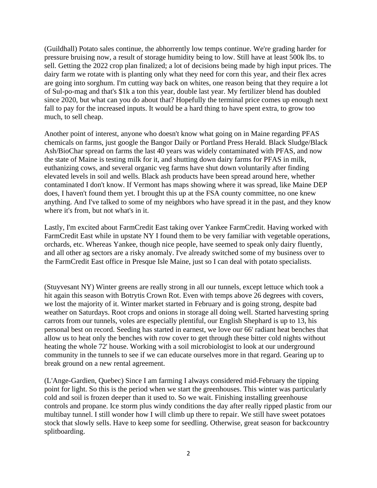(Guildhall) Potato sales continue, the abhorrently low temps continue. We're grading harder for pressure bruising now, a result of storage humidity being to low. Still have at least 500k lbs. to sell. Getting the 2022 crop plan finalized; a lot of decisions being made by high input prices. The dairy farm we rotate with is planting only what they need for corn this year, and their flex acres are going into sorghum. I'm cutting way back on whites, one reason being that they require a lot of Sul-po-mag and that's \$1k a ton this year, double last year. My fertilizer blend has doubled since 2020, but what can you do about that? Hopefully the terminal price comes up enough next fall to pay for the increased inputs. It would be a hard thing to have spent extra, to grow too much, to sell cheap.

Another point of interest, anyone who doesn't know what going on in Maine regarding PFAS chemicals on farms, just google the Bangor Daily or Portland Press Herald. Black Sludge/Black Ash/BioChar spread on farms the last 40 years was widely contaminated with PFAS, and now the state of Maine is testing milk for it, and shutting down dairy farms for PFAS in milk, euthanizing cows, and several organic veg farms have shut down voluntarily after finding elevated levels in soil and wells. Black ash products have been spread around here, whether contaminated I don't know. If Vermont has maps showing where it was spread, like Maine DEP does, I haven't found them yet. I brought this up at the FSA county committee, no one knew anything. And I've talked to some of my neighbors who have spread it in the past, and they know where it's from, but not what's in it.

Lastly, I'm excited about FarmCredit East taking over Yankee FarmCredit. Having worked with FarmCredit East while in upstate NY I found them to be very familiar with vegetable operations, orchards, etc. Whereas Yankee, though nice people, have seemed to speak only dairy fluently, and all other ag sectors are a risky anomaly. I've already switched some of my business over to the FarmCredit East office in Presque Isle Maine, just so I can deal with potato specialists.

(Stuyvesant NY) Winter greens are really strong in all our tunnels, except lettuce which took a hit again this season with Botrytis Crown Rot. Even with temps above 26 degrees with covers, we lost the majority of it. Winter market started in February and is going strong, despite bad weather on Saturdays. Root crops and onions in storage all doing well. Started harvesting spring carrots from our tunnels, voles are especially plentiful, our English Shephard is up to 13, his personal best on record. Seeding has started in earnest, we love our 66' radiant heat benches that allow us to heat only the benches with row cover to get through these bitter cold nights without heating the whole 72' house. Working with a soil microbiologist to look at our underground community in the tunnels to see if we can educate ourselves more in that regard. Gearing up to break ground on a new rental agreement.

(L'Ange-Gardien, Quebec) Since I am farming I always considered mid-February the tipping point for light. So this is the period when we start the greenhouses. This winter was particularly cold and soil is frozen deeper than it used to. So we wait. Finishing installing greenhouse controls and propane. Ice storm plus windy conditions the day after really ripped plastic from our multibay tunnel. I still wonder how I will climb up there to repair. We still have sweet potatoes stock that slowly sells. Have to keep some for seedling. Otherwise, great season for backcountry splitboarding.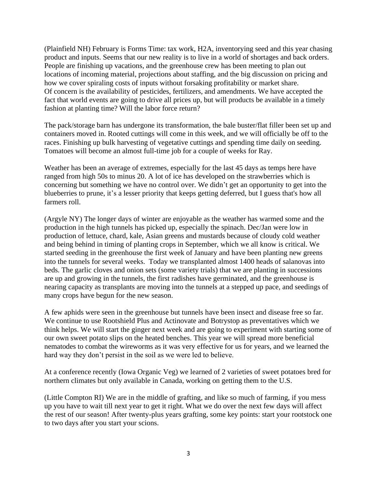(Plainfield NH) February is Forms Time: tax work, H2A, inventorying seed and this year chasing product and inputs. Seems that our new reality is to live in a world of shortages and back orders. People are finishing up vacations, and the greenhouse crew has been meeting to plan out locations of incoming material, projections about staffing, and the big discussion on pricing and how we cover spiraling costs of inputs without forsaking profitability or market share. Of concern is the availability of pesticides, fertilizers, and amendments. We have accepted the fact that world events are going to drive all prices up, but will products be available in a timely fashion at planting time? Will the labor force return?

The pack/storage barn has undergone its transformation, the bale buster/flat filler been set up and containers moved in. Rooted cuttings will come in this week, and we will officially be off to the races. Finishing up bulk harvesting of vegetative cuttings and spending time daily on seeding. Tomatoes will become an almost full-time job for a couple of weeks for Ray.

Weather has been an average of extremes, especially for the last 45 days as temps here have ranged from high 50s to minus 20. A lot of ice has developed on the strawberries which is concerning but something we have no control over. We didn't get an opportunity to get into the blueberries to prune, it's a lesser priority that keeps getting deferred, but I guess that's how all farmers roll.

(Argyle NY) The longer days of winter are enjoyable as the weather has warmed some and the production in the high tunnels has picked up, especially the spinach. Dec/Jan were low in production of lettuce, chard, kale, Asian greens and mustards because of cloudy cold weather and being behind in timing of planting crops in September, which we all know is critical. We started seeding in the greenhouse the first week of January and have been planting new greens into the tunnels for several weeks. Today we transplanted almost 1400 heads of salanovas into beds. The garlic cloves and onion sets (some variety trials) that we are planting in successions are up and growing in the tunnels, the first radishes have germinated, and the greenhouse is nearing capacity as transplants are moving into the tunnels at a stepped up pace, and seedings of many crops have begun for the new season.

A few aphids were seen in the greenhouse but tunnels have been insect and disease free so far. We continue to use Rootshield Plus and Actinovate and Botrystop as preventatives which we think helps. We will start the ginger next week and are going to experiment with starting some of our own sweet potato slips on the heated benches. This year we will spread more beneficial nematodes to combat the wireworms as it was very effective for us for years, and we learned the hard way they don't persist in the soil as we were led to believe.

At a conference recently (Iowa Organic Veg) we learned of 2 varieties of sweet potatoes bred for northern climates but only available in Canada, working on getting them to the U.S.

(Little Compton RI) We are in the middle of grafting, and like so much of farming, if you mess up you have to wait till next year to get it right. What we do over the next few days will affect the rest of our season! After twenty-plus years grafting, some key points: start your rootstock one to two days after you start your scions.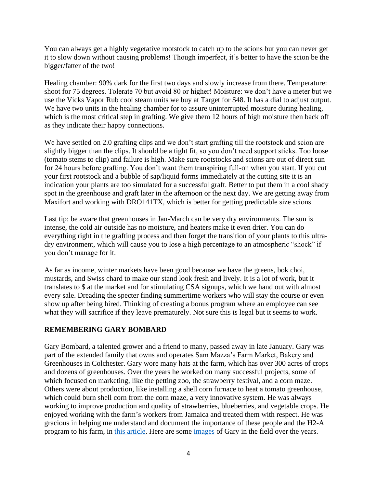You can always get a highly vegetative rootstock to catch up to the scions but you can never get it to slow down without causing problems! Though imperfect, it's better to have the scion be the bigger/fatter of the two!

Healing chamber: 90% dark for the first two days and slowly increase from there. Temperature: shoot for 75 degrees. Tolerate 70 but avoid 80 or higher! Moisture: we don't have a meter but we use the Vicks Vapor Rub cool steam units we buy at Target for \$48. It has a dial to adjust output. We have two units in the healing chamber for to assure uninterrupted moisture during healing, which is the most critical step in grafting. We give them 12 hours of high moisture then back off as they indicate their happy connections.

We have settled on 2.0 grafting clips and we don't start grafting till the rootstock and scion are slightly bigger than the clips. It should be a tight fit, so you don't need support sticks. Too loose (tomato stems to clip) and failure is high. Make sure rootstocks and scions are out of direct sun for 24 hours before grafting. You don't want them transpiring full-on when you start. If you cut your first rootstock and a bubble of sap/liquid forms immediately at the cutting site it is an indication your plants are too simulated for a successful graft. Better to put them in a cool shady spot in the greenhouse and graft later in the afternoon or the next day. We are getting away from Maxifort and working with DRO141TX, which is better for getting predictable size scions.

Last tip: be aware that greenhouses in Jan-March can be very dry environments. The sun is intense, the cold air outside has no moisture, and heaters make it even drier. You can do everything right in the grafting process and then forget the transition of your plants to this ultradry environment, which will cause you to lose a high percentage to an atmospheric "shock" if you don't manage for it.

As far as income, winter markets have been good because we have the greens, bok choi, mustards, and Swiss chard to make our stand look fresh and lively. It is a lot of work, but it translates to \$ at the market and for stimulating CSA signups, which we hand out with almost every sale. Dreading the specter finding summertime workers who will stay the course or even show up after being hired. Thinking of creating a bonus program where an employee can see what they will sacrifice if they leave prematurely. Not sure this is legal but it seems to work.

#### **REMEMBERING GARY BOMBARD**

Gary Bombard, a talented grower and a friend to many, passed away in late January. Gary was part of the extended family that owns and operates Sam Mazza's Farm Market, Bakery and Greenhouses in Colchester. Gary wore many hats at the farm, which has over 300 acres of crops and dozens of greenhouses. Over the years he worked on many successful projects, some of which focused on marketing, like the petting zoo, the strawberry festival, and a corn maze. Others were about production, like installing a shell corn furnace to heat a tomato greenhouse, which could burn shell corn from the corn maze, a very innovative system. He was always working to improve production and quality of strawberries, blueberries, and vegetable crops. He enjoyed working with the farm's workers from Jamaica and treated them with respect. He was gracious in helping me understand and document the importance of these people and the H2-A program to his farm, in [this article.](http://www.uvm.edu/vtvegandberry/factsheets/Importance_H2A_One_Vermont_Farm.pdf) Here are some [images](https://www.uvm.edu/sites/default/files/UVM-Extension-Cultivating-Healthy-Communities/horticulture/RememberingGaryBombard.pdf) of Gary in the field over the years.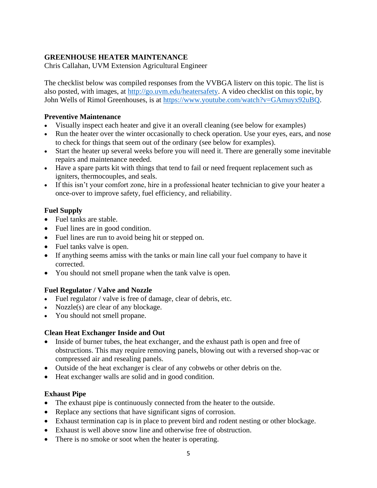# **GREENHOUSE HEATER MAINTENANCE**

Chris Callahan, UVM Extension Agricultural Engineer

The checklist below was compiled responses from the VVBGA listerv on this topic. The list is also posted, with images, at [http://go.uvm.edu/heatersafety.](http://go.uvm.edu/heatersafety) A video checklist on this topic, by John Wells of Rimol Greenhouses, is at [https://www.youtube.com/watch?v=GAmuyx92uBQ.](https://www.youtube.com/watch?v=GAmuyx92uBQ)

### **Preventive Maintenance**

- Visually inspect each heater and give it an overall cleaning (see below for examples)
- Run the heater over the winter occasionally to check operation. Use your eyes, ears, and nose to check for things that seem out of the ordinary (see below for examples).
- Start the heater up several weeks before you will need it. There are generally some inevitable repairs and maintenance needed.
- Have a spare parts kit with things that tend to fail or need frequent replacement such as igniters, thermocouples, and seals.
- If this isn't your comfort zone, hire in a professional heater technician to give your heater a once-over to improve safety, fuel efficiency, and reliability.

# **Fuel Supply**

- Fuel tanks are stable.
- Fuel lines are in good condition.
- Fuel lines are run to avoid being hit or stepped on.
- Fuel tanks valve is open.
- If anything seems amiss with the tanks or main line call your fuel company to have it corrected.
- You should not smell propane when the tank valve is open.

## **Fuel Regulator / Valve and Nozzle**

- Fuel regulator / valve is free of damage, clear of debris, etc.
- Nozzle(s) are clear of any blockage.
- You should not smell propane.

## **Clean Heat Exchanger Inside and Out**

- Inside of burner tubes, the heat exchanger, and the exhaust path is open and free of obstructions. This may require removing panels, blowing out with a reversed shop-vac or compressed air and resealing panels.
- Outside of the heat exchanger is clear of any cobwebs or other debris on the.
- Heat exchanger walls are solid and in good condition.

## **Exhaust Pipe**

- The exhaust pipe is continuously connected from the heater to the outside.
- Replace any sections that have significant signs of corrosion.
- Exhaust termination cap is in place to prevent bird and rodent nesting or other blockage.
- Exhaust is well above snow line and otherwise free of obstruction.
- There is no smoke or soot when the heater is operating.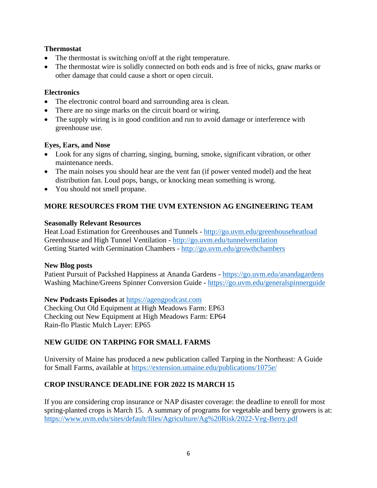### **Thermostat**

- The thermostat is switching on/off at the right temperature.
- The thermostat wire is solidly connected on both ends and is free of nicks, gnaw marks or other damage that could cause a short or open circuit.

#### **Electronics**

- The electronic control board and surrounding area is clean.
- There are no singe marks on the circuit board or wiring.
- The supply wiring is in good condition and run to avoid damage or interference with greenhouse use.

#### **Eyes, Ears, and Nose**

- Look for any signs of charring, singing, burning, smoke, significant vibration, or other maintenance needs.
- The main noises you should hear are the vent fan (if power vented model) and the heat distribution fan. Loud pops, bangs, or knocking mean something is wrong.
- You should not smell propane.

## **MORE RESOURCES FROM THE UVM EXTENSION AG ENGINEERING TEAM**

#### **Seasonally Relevant Resources**

Heat Load Estimation for Greenhouses and Tunnels - <http://go.uvm.edu/greenhouseheatload> Greenhouse and High Tunnel Ventilation - <http://go.uvm.edu/tunnelventilation> Getting Started with Germination Chambers - <http://go.uvm.edu/growthchambers>

#### **New Blog posts**

Patient Pursuit of Packshed Happiness at Ananda Gardens - <https://go.uvm.edu/anandagardens> Washing Machine/Greens Spinner Conversion Guide - <https://go.uvm.edu/generalspinnerguide>

#### **New Podcasts Episodes** at [https://agengpodcast.com](https://agengpodcast.com/)

Checking Out Old Equipment at High Meadows Farm: EP63 Checking out New Equipment at High Meadows Farm: EP64 Rain-flo Plastic Mulch Layer: EP65

## **NEW GUIDE ON TARPING FOR SMALL FARMS**

University of Maine has produced a new publication called Tarping in the Northeast: A Guide for Small Farms, available at<https://extension.umaine.edu/publications/1075e/>

## **CROP INSURANCE DEADLINE FOR 2022 IS MARCH 15**

If you are considering crop insurance or NAP disaster coverage: the deadline to enroll for most spring-planted crops is March 15. A summary of programs for vegetable and berry growers is at: <https://www.uvm.edu/sites/default/files/Agriculture/Ag%20Risk/2022-Veg-Berry.pdf>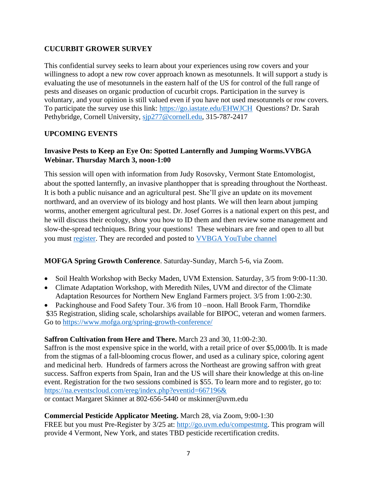## **CUCURBIT GROWER SURVEY**

This confidential survey seeks to learn about your experiences using row covers and your willingness to adopt a new row cover approach known as mesotunnels. It will support a study is evaluating the use of mesotunnels in the eastern half of the US for control of the full range of pests and diseases on organic production of cucurbit crops. Participation in the survey is voluntary, and your opinion is still valued even if you have not used mesotunnels or row covers. To participate the survey use this link: <https://go.iastate.edu/EHWJCH> Questions? Dr. Sarah Pethybridge, Cornell University, [sjp277@cornell.edu,](mailto:sjp277@cornell.edu) 315-787-2417

## **UPCOMING EVENTS**

# **Invasive Pests to Keep an Eye On: Spotted Lanternfly and Jumping Worms.VVBGA Webinar. Thursday March 3, noon-1:00**

This session will open with information from Judy Rosovsky, Vermont State Entomologist, about the spotted lanternfly, an invasive planthopper that is spreading throughout the Northeast. It is both a public nuisance and an agricultural pest. She'll give an update on its movement northward, and an overview of its biology and host plants. We will then learn about jumping worms, another emergent agricultural pest. Dr. Josef Gorres is a national expert on this pest, and he will discuss their ecology, show you how to ID them and then review some management and slow-the-spread techniques. Bring your questions! These webinars are free and open to all but you must [register.](https://us02web.zoom.us/meeting/register/tZAkduivqT0uH9Zgl1rcGWraj30Q1mU1oSjG?_x_zm_rtaid=oS1D1oNKSuSBaQdEdptGvw.1643719295423.9d1f1e847dbf96021ba43e20d5256aa2&_x_zm_rhtaid=284) They are recorded and posted to [VVBGA YouTube channel](https://www.youtube.com/channel/UCy1XzL_YX4j8hLCreEyYLBQ)

## **MOFGA Spring Growth Conference**. Saturday-Sunday, March 5-6, via Zoom.

- Soil Health Workshop with Becky Maden, UVM Extension. Saturday,  $3/5$  from 9:00-11:30.
- Climate Adaptation Workshop, with Meredith Niles, UVM and director of the Climate Adaptation Resources for Northern New England Farmers project. 3/5 from 1:00-2:30.
- Packinghouse and Food Safety Tour. 3/6 from 10 –noon. Hall Brook Farm, Thorndike \$35 Registration, sliding scale, scholarships available for BIPOC, veteran and women farmers. Go to<https://www.mofga.org/spring-growth-conference/>

## **Saffron Cultivation from Here and There.** March 23 and 30, 11:00-2:30.

Saffron is the most expensive spice in the world, with a retail price of over \$5,000/lb. It is made from the stigmas of a fall-blooming crocus flower, and used as a culinary spice, coloring agent and medicinal herb. Hundreds of farmers across the Northeast are growing saffron with great success. Saffron experts from Spain, Iran and the US will share their knowledge at this on-line event. Registration for the two sessions combined is \$55. To learn more and to register, go to: <https://na.eventscloud.com/ereg/index.php?eventid=667196&> or contact Margaret Skinner at 802-656-5440 or mskinner@uvm.edu

## **Commercial Pesticide Applicator Meeting.** March 28, via Zoom, 9:00-1:30

FREE but you must Pre-Register by 3/25 at: [http://go.uvm.edu/compestmtg.](http://go.uvm.edu/compestmtg) This program will provide 4 Vermont, New York, and states TBD pesticide recertification credits.